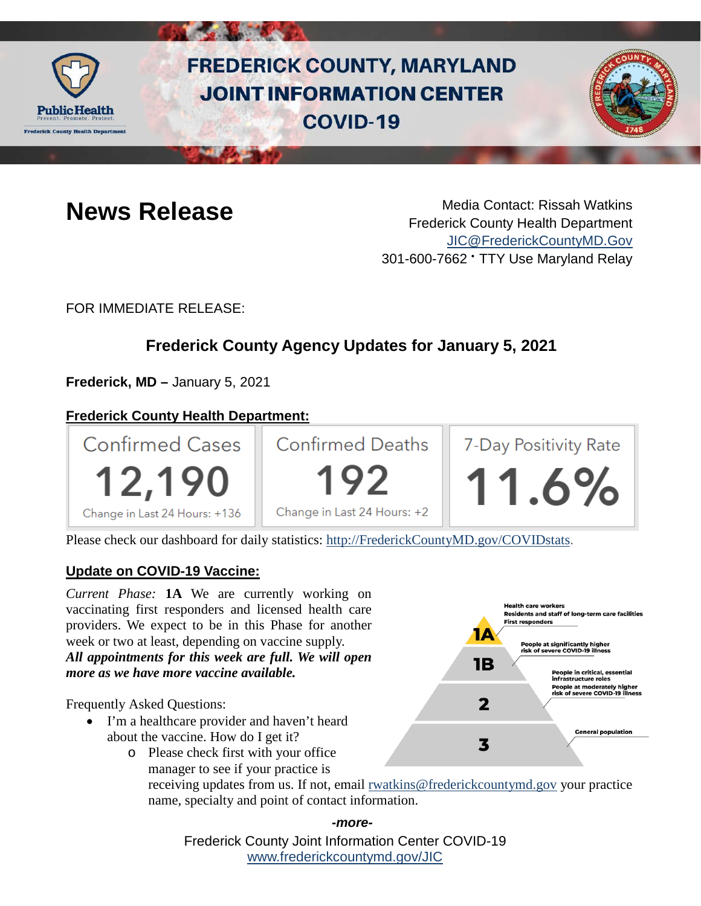

# **FREDERICK COUNTY, MARYLAND JOINT INFORMATION CENTER COVID-19**



**News Release** Media Contact: Rissah Watkins Frederick County Health Department [JIC@FrederickCountyMD.Gov](mailto:JIC@FrederickCountyMD.Gov) 301-600-7662 • TTY Use Maryland Relay

FOR IMMEDIATE RELEASE:

## **Frederick County Agency Updates for January 5, 2021**

**Frederick, MD –** January 5, 2021

### **Frederick County Health Department:**



Please check our dashboard for daily statistics: [http://FrederickCountyMD.gov/COVIDstats.](http://frederickcountymd.gov/COVIDstats)

#### **Update on COVID-19 Vaccine:**

*Current Phase:* **1A** We are currently working on vaccinating first responders and licensed health care providers. We expect to be in this Phase for another week or two at least, depending on vaccine supply. *All appointments for this week are full. We will open more as we have more vaccine available.* 

Frequently Asked Questions:

- I'm a healthcare provider and haven't heard about the vaccine. How do I get it?
	- o Please check first with your office manager to see if your practice is



receiving updates from us. If not, email [rwatkins@frederickcountymd.gov](mailto:rwatkins@frederickcountymd.gov) your practice name, specialty and point of contact information.

*-more-*

Frederick County Joint Information Center COVID-19 [www.frederickcountymd.gov/JIC](https://frederickcountymd.gov/JIC)